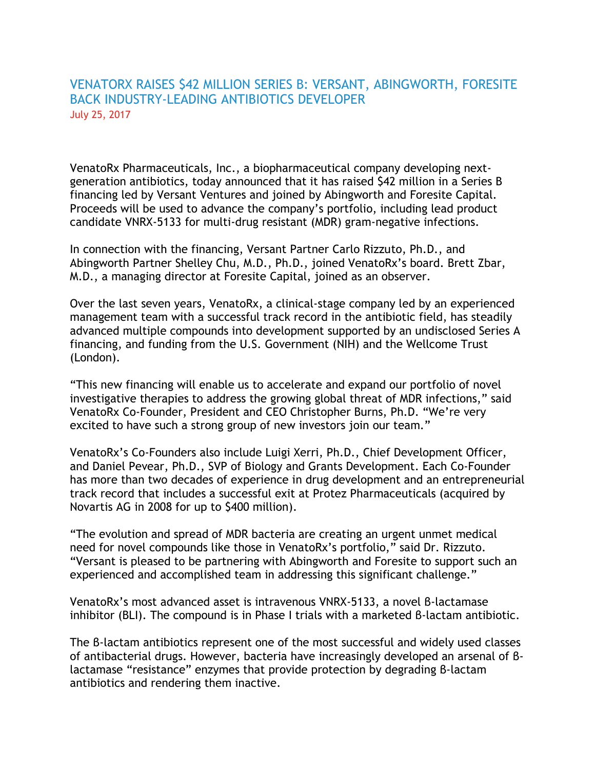# VENATORX RAISES \$42 MILLION SERIES B: VERSANT, ABINGWORTH, FORESITE BACK INDUSTRY‐LEADING ANTIBIOTICS DEVELOPER July 25, 2017

VenatoRx Pharmaceuticals, Inc., a biopharmaceutical company developing next‐ generation antibiotics, today announced that it has raised \$42 million in a Series B financing led by Versant Ventures and joined by Abingworth and Foresite Capital. Proceeds will be used to advance the company's portfolio, including lead product candidate VNRX‐5133 for multi‐drug resistant (MDR) gram‐negative infections.

In connection with the financing, Versant Partner Carlo Rizzuto, Ph.D., and Abingworth Partner Shelley Chu, M.D., Ph.D., joined VenatoRx's board. Brett Zbar, M.D., a managing director at Foresite Capital, joined as an observer.

Over the last seven years, VenatoRx, a clinical‐stage company led by an experienced management team with a successful track record in the antibiotic field, has steadily advanced multiple compounds into development supported by an undisclosed Series A financing, and funding from the U.S. Government (NIH) and the Wellcome Trust (London).

"This new financing will enable us to accelerate and expand our portfolio of novel investigative therapies to address the growing global threat of MDR infections," said VenatoRx Co‐Founder, President and CEO Christopher Burns, Ph.D. "We're very excited to have such a strong group of new investors join our team."

VenatoRx's Co‐Founders also include Luigi Xerri, Ph.D., Chief Development Officer, and Daniel Pevear, Ph.D., SVP of Biology and Grants Development. Each Co‐Founder has more than two decades of experience in drug development and an entrepreneurial track record that includes a successful exit at Protez Pharmaceuticals (acquired by Novartis AG in 2008 for up to \$400 million).

"The evolution and spread of MDR bacteria are creating an urgent unmet medical need for novel compounds like those in VenatoRx's portfolio," said Dr. Rizzuto. "Versant is pleased to be partnering with Abingworth and Foresite to support such an experienced and accomplished team in addressing this significant challenge."

VenatoRx's most advanced asset is intravenous VNRX‐5133, a novel β‐lactamase inhibitor (BLI). The compound is in Phase I trials with a marketed β‐lactam antibiotic.

The B-lactam antibiotics represent one of the most successful and widely used classes of antibacterial drugs. However, bacteria have increasingly developed an arsenal of β‐ lactamase "resistance" enzymes that provide protection by degrading β‐lactam antibiotics and rendering them inactive.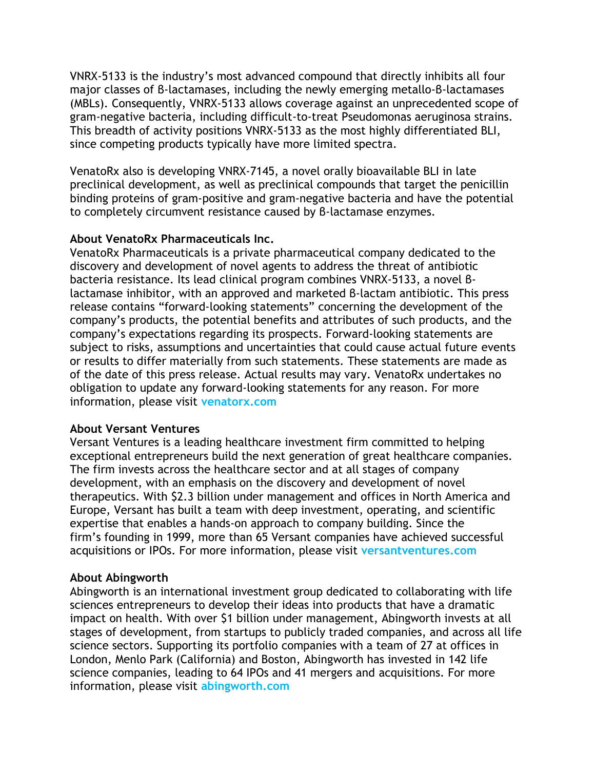VNRX‐5133 is the industry's most advanced compound that directly inhibits all four major classes of β‐lactamases, including the newly emerging metallo‐β‐lactamases (MBLs). Consequently, VNRX‐5133 allows coverage against an unprecedented scope of gram‐negative bacteria, including difficult‐to‐treat Pseudomonas aeruginosa strains. This breadth of activity positions VNRX‐5133 as the most highly differentiated BLI, since competing products typically have more limited spectra.

VenatoRx also is developing VNRX‐7145, a novel orally bioavailable BLI in late preclinical development, as well as preclinical compounds that target the penicillin binding proteins of gram‐positive and gram‐negative bacteria and have the potential to completely circumvent resistance caused by β‐lactamase enzymes.

### **About VenatoRx Pharmaceuticals Inc.**

VenatoRx Pharmaceuticals is a private pharmaceutical company dedicated to the discovery and development of novel agents to address the threat of antibiotic bacteria resistance. Its lead clinical program combines VNRX‐5133, a novel β‐ lactamase inhibitor, with an approved and marketed β‐lactam antibiotic. This press release contains "forward‐looking statements" concerning the development of the company's products, the potential benefits and attributes of such products, and the company's expectations regarding its prospects. Forward‐looking statements are subject to risks, assumptions and uncertainties that could cause actual future events or results to differ materially from such statements. These statements are made as of the date of this press release. Actual results may vary. VenatoRx undertakes no obligation to update any forward‐looking statements for any reason. For more information, please visit **[venatorx.com](http://venatorx.com/)**

#### **About Versant Ventures**

Versant Ventures is a leading healthcare investment firm committed to helping exceptional entrepreneurs build the next generation of great healthcare companies. The firm invests across the healthcare sector and at all stages of company development, with an emphasis on the discovery and development of novel therapeutics. With \$2.3 billion under management and offices in North America and Europe, Versant has built a team with deep investment, operating, and scientific expertise that enables a hands‐on approach to company building. Since the firm's founding in 1999, more than 65 Versant companies have achieved successful acquisitions or IPOs. For more information, please visit **[versantventures.com](http://www.versantventures.com/)**

#### **About Abingworth**

Abingworth is an international investment group dedicated to collaborating with life sciences entrepreneurs to develop their ideas into products that have a dramatic impact on health. With over \$1 billion under management, Abingworth invests at all stages of development, from startups to publicly traded companies, and across all life science sectors. Supporting its portfolio companies with a team of 27 at offices in London, Menlo Park (California) and Boston, Abingworth has invested in 142 life science companies, leading to 64 IPOs and 41 mergers and acquisitions. For more information, please visit **[abingworth.com](http://www.abingworth.com/)**